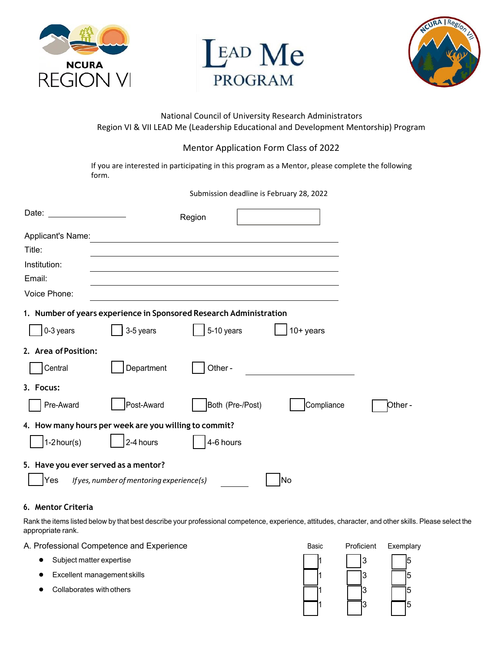





# National Council of University Research Administrators Region VI & VII LEAD Me (Leadership Educational and Development Mentorship) Program

# Mentor Application Form Class of 2022

If you are interested in participating in this program as a Mentor, please complete the following form.

Submission deadline is February 28, 2022

| Date:                                |                                                       | Region                                                             |             |        |
|--------------------------------------|-------------------------------------------------------|--------------------------------------------------------------------|-------------|--------|
| Applicant's Name:                    |                                                       |                                                                    |             |        |
| Title:                               |                                                       |                                                                    |             |        |
| Institution:                         |                                                       |                                                                    |             |        |
| Email:                               |                                                       |                                                                    |             |        |
| Voice Phone:                         |                                                       |                                                                    |             |        |
|                                      |                                                       | 1. Number of years experience in Sponsored Research Administration |             |        |
| 0-3 years                            | 3-5 years                                             | 5-10 years                                                         | $10+$ years |        |
| 2. Area of Position:                 |                                                       |                                                                    |             |        |
| Central                              | Department                                            | Other-                                                             |             |        |
| 3. Focus:                            |                                                       |                                                                    |             |        |
| Pre-Award                            | Post-Award                                            | Both (Pre-/Post)                                                   | Compliance  | Other- |
|                                      | 4. How many hours per week are you willing to commit? |                                                                    |             |        |
| $1-2$ hour(s)                        | 2-4 hours                                             | 4-6 hours                                                          |             |        |
| 5. Have you ever served as a mentor? |                                                       |                                                                    |             |        |
| Yes                                  | If yes, number of mentoring experience(s)             |                                                                    | No          |        |

## **6. Mentor Criteria**

Rank the items listed below by that best describe your professional competence, experience, attitudes, character, and other skills. Please select the appropriate rank.

A. Professional Competence and Experience **Basic Proficient Exemplary A.** Proficient Exemplary

- Subject matter expertise 1 3 5
- 
- 

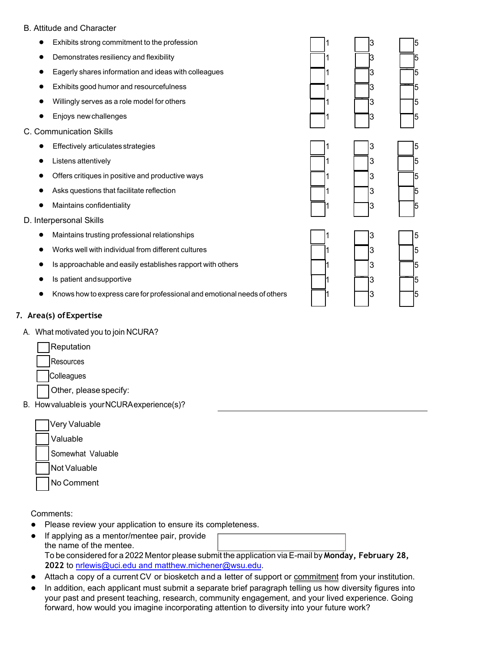#### B. Attitude and Character

- Exhibits strong commitment to the profession 1 3 5
- **•** Demonstrates resiliency and flexibility
- Eagerly shares information and ideas with colleagues
- Exhibits good humor and resourcefulness
- Willingly serves as a role model for others
- Enjoys new challenges
- C. Communication Skills
	- $\bullet$  Effectively articulates strategies
	- Listens attentively
	- Offers critiques in positive and productive ways
	- Asks questions that facilitate reflection
	- Maintains confidentiality
- D. Interpersonal Skills
	- Maintains trusting professional relationships 1 3 5
	- Works well with individual from different cultures
	- Is approachable and easily establishes rapport with others 1 3 5
	- **•** Is patient and supportive
	- Knows how to express care for professional and emotional needs of others 1 3 5

### **7. Area(s) ofExpertise**

A. What motivated you to join NCURA?



**Resources** 

**Colleagues** 

Other, pleasespecify:

B. Howvaluableis yourNCURAexperience(s)?

| Very Valuable     |  |
|-------------------|--|
| Valuable          |  |
| Somewhat Valuable |  |
| Not Valuable      |  |
| No Comment        |  |

Comments:

- Please review your application to ensure its completeness.
- If applying as a mentor/mentee pair, provide the name of the mentee. To be considered for a 2022 Mentor please submit the application via E-mail by **Monday, February 28, 2022** to nrlewis@uci.edu and matthew.michener@wsu.edu.
- Attach a copy of a current CV or biosketch and a letter of support or commitment from your institution.
- In [addition, each applicant must](mailto:derickjones@Lundquist.org) submit a separate brief paragraph telling us how diversity figures into your past and present teaching, research, community engagement, and your lived experience. Going forward, how would you imagine incorporating attention to diversity into your future work?

|   | $\frac{3}{2}$                              |  |
|---|--------------------------------------------|--|
| 1 | 3                                          |  |
| 1 | $\overline{3}$                             |  |
| 1 |                                            |  |
|   | $\begin{array}{c} 3 \\ 3 \\ 3 \end{array}$ |  |
|   |                                            |  |
|   |                                            |  |
|   |                                            |  |
|   | $\begin{array}{c} 3 \\ 3 \\ 3 \end{array}$ |  |
|   |                                            |  |
|   |                                            |  |
|   |                                            |  |
| 1 |                                            |  |
|   |                                            |  |
|   |                                            |  |
|   |                                            |  |
|   |                                            |  |
|   | $\begin{array}{c} 3 \\ 3 \\ 3 \end{array}$ |  |
|   |                                            |  |
|   |                                            |  |